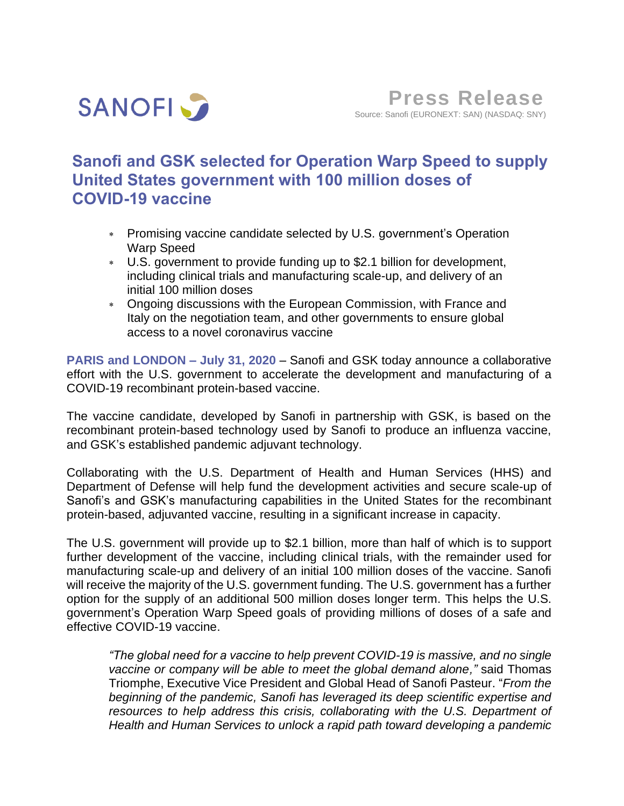

# **Sanofi and GSK selected for Operation Warp Speed to supply United States government with 100 million doses of COVID-19 vaccine**

- Promising vaccine candidate selected by U.S. government's Operation Warp Speed
- U.S. government to provide funding up to \$2.1 billion for development, including clinical trials and manufacturing scale-up, and delivery of an initial 100 million doses
- Ongoing discussions with the European Commission, with France and Italy on the negotiation team, and other governments to ensure global access to a novel coronavirus vaccine

**PARIS and LONDON – July 31, 2020** – Sanofi and GSK today announce a collaborative effort with the U.S. government to accelerate the development and manufacturing of a COVID-19 recombinant protein-based vaccine.

The vaccine candidate, developed by Sanofi in partnership with GSK, is based on the recombinant protein-based technology used by Sanofi to produce an influenza vaccine, and GSK's established pandemic adjuvant technology.

Collaborating with the U.S. Department of Health and Human Services (HHS) and Department of Defense will help fund the development activities and secure scale-up of Sanofi's and GSK's manufacturing capabilities in the United States for the recombinant protein-based, adjuvanted vaccine, resulting in a significant increase in capacity.

The U.S. government will provide up to \$2.1 billion, more than half of which is to support further development of the vaccine, including clinical trials, with the remainder used for manufacturing scale-up and delivery of an initial 100 million doses of the vaccine. Sanofi will receive the majority of the U.S. government funding. The U.S. government has a further option for the supply of an additional 500 million doses longer term. This helps the U.S. government's Operation Warp Speed goals of providing millions of doses of a safe and effective COVID-19 vaccine.

*"The global need for a vaccine to help prevent COVID-19 is massive, and no single vaccine or company will be able to meet the global demand alone,"* said Thomas Triomphe, Executive Vice President and Global Head of Sanofi Pasteur. "*From the beginning of the pandemic, Sanofi has leveraged its deep scientific expertise and resources to help address this crisis, collaborating with the U.S. Department of Health and Human Services to unlock a rapid path toward developing a pandemic*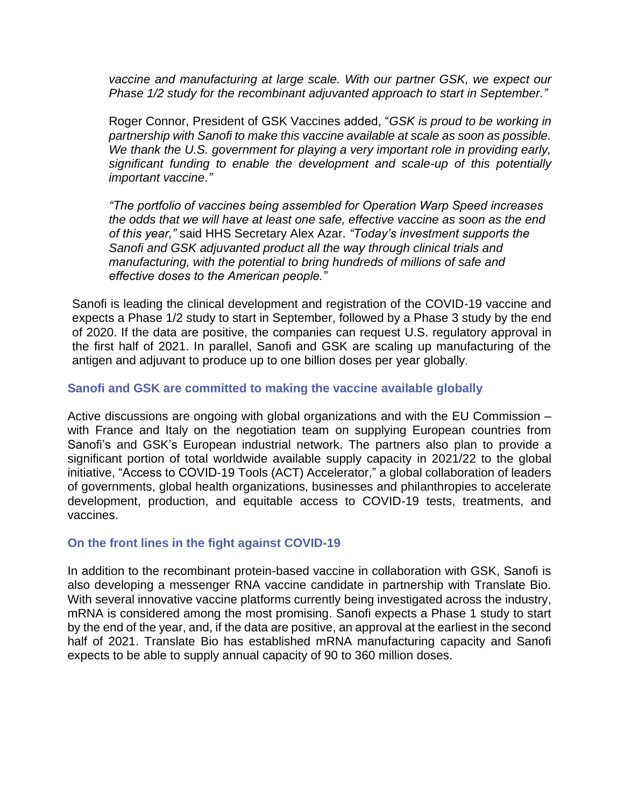*vaccine and manufacturing at large scale. With our partner GSK, we expect our Phase 1/2 study for the recombinant adjuvanted approach to start in September."*

Roger Connor, President of GSK Vaccines added, "*GSK is proud to be working in partnership with Sanofi to make this vaccine available at scale as soon as possible. We thank the U.S. government for playing a very important role in providing early, significant funding to enable the development and scale-up of this potentially important vaccine."*

*"The portfolio of vaccines being assembled for Operation Warp Speed increases the odds that we will have at least one safe, effective vaccine as soon as the end of this year,"* said HHS Secretary Alex Azar. *"Today's investment supports the Sanofi and GSK adjuvanted product all the way through clinical trials and manufacturing, with the potential to bring hundreds of millions of safe and effective doses to the American people."*

Sanofi is leading the clinical development and registration of the COVID-19 vaccine and expects a Phase 1/2 study to start in September, followed by a Phase 3 study by the end of 2020. If the data are positive, the companies can request U.S. regulatory approval in the first half of 2021. In parallel, Sanofi and GSK are scaling up manufacturing of the antigen and adjuvant to produce up to one billion doses per year globally.

## **Sanofi and GSK are committed to making the vaccine available globally**

Active discussions are ongoing with global organizations and with the EU Commission – with France and Italy on the negotiation team on supplying European countries from Sanofi's and GSK's European industrial network. The partners also plan to provide a significant portion of total worldwide available supply capacity in 2021/22 to the global initiative, "Access to COVID‐19 Tools (ACT) Accelerator," a global collaboration of leaders of governments, global health organizations, businesses and philanthropies to accelerate development, production, and equitable access to COVID-19 tests, treatments, and vaccines.

## **On the front lines in the fight against COVID-19**

In addition to the recombinant protein-based vaccine in collaboration with GSK, Sanofi is also developing a messenger RNA vaccine candidate in partnership with Translate Bio. With several innovative vaccine platforms currently being investigated across the industry, mRNA is considered among the most promising. Sanofi expects a Phase 1 study to start by the end of the year, and, if the data are positive, an approval at the earliest in the second half of 2021. Translate Bio has established mRNA manufacturing capacity and Sanofi expects to be able to supply annual capacity of 90 to 360 million doses.